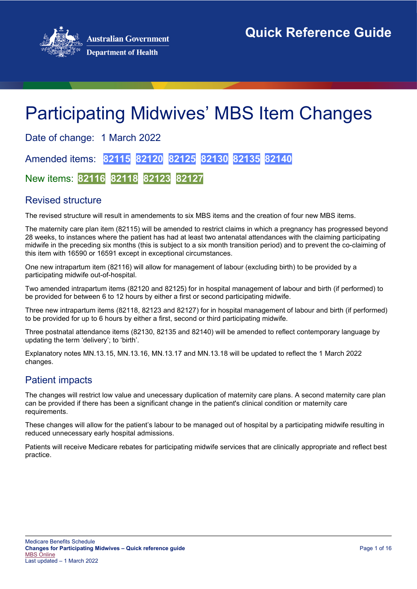

# Participating Midwives' MBS Item Changes

Date of change: 1 March 2022 Amended items: **82115 82120 82125 82130 82135 82140**

New items: **82116 82118 82123 82127**

# Revised structure

The revised structure will result in amendements to six MBS items and the creation of four new MBS items.

The maternity care plan item (82115) will be amended to restrict claims in which a pregnancy has progressed beyond 28 weeks, to instances where the patient has had at least two antenatal attendances with the claiming participating midwife in the preceding six months (this is subject to a six month transition period) and to prevent the co-claiming of this item with 16590 or 16591 except in exceptional circumstances.

One new intrapartum item (82116) will allow for management of labour (excluding birth) to be provided by a participating midwife out-of-hospital.

Two amended intrapartum items (82120 and 82125) for in hospital management of labour and birth (if performed) to be provided for between 6 to 12 hours by either a first or second participating midwife.

Three new intrapartum items (82118, 82123 and 82127) for in hospital management of labour and birth (if performed) to be provided for up to 6 hours by either a first, second or third participating midwife.

Three postnatal attendance items (82130, 82135 and 82140) will be amended to reflect contemporary language by updating the term 'delivery'; to 'birth'.

Explanatory notes MN.13.15, MN.13.16, MN.13.17 and MN.13.18 will be updated to reflect the 1 March 2022 changes.

# Patient impacts

The changes will restrict low value and unecessary duplication of maternity care plans. A second maternity care plan can be provided if there has been a significant change in the patient's clinical condition or maternity care requirements.

These changes will allow for the patient's labour to be managed out of hospital by a participating midwife resulting in reduced unnecessary early hospital admissions.

Patients will receive Medicare rebates for participating midwife services that are clinically appropriate and reflect best practice.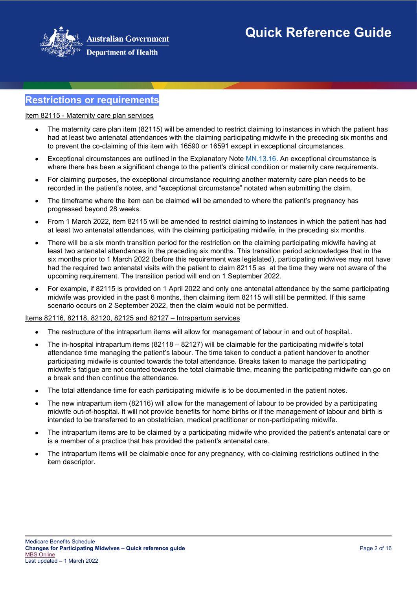

# **Department of Health**

# **Restrictions or requirements**

Item 82115 - Maternity care plan services

- The maternity care plan item (82115) will be amended to restrict claiming to instances in which the patient has had at least two antenatal attendances with the claiming participating midwife in the preceding six months and to prevent the co-claiming of this item with 16590 or 16591 except in exceptional circumstances.
- Exceptional circumstances are outlined in the Explanatory Note [MN.13.16.](http://www9.health.gov.au/mbs/fullDisplay.cfm?type=note&q=MN.13.16&qt=noteID&criteria=mn%2E13%2E16) An exceptional circumstance is where there has been a significant change to the patient's clinical condition or maternity care requirements.
- For claiming purposes, the exceptional circumstance requiring another maternity care plan needs to be recorded in the patient's notes, and "exceptional circumstance" notated when submitting the claim.
- The timeframe where the item can be claimed will be amended to where the patient's pregnancy has progressed beyond 28 weeks.
- From 1 March 2022, item 82115 will be amended to restrict claiming to instances in which the patient has had at least two antenatal attendances, with the claiming participating midwife, in the preceding six months.
- There will be a six month transition period for the restriction on the claiming participating midwife having at least two antenatal attendances in the preceding six months. This transition period acknowledges that in the six months prior to 1 March 2022 (before this requirement was legislated), participating midwives may not have had the required two antenatal visits with the patient to claim 82115 as at the time they were not aware of the upcoming requirement. The transition period will end on 1 September 2022.
- For example, if 82115 is provided on 1 April 2022 and only one antenatal attendance by the same participating midwife was provided in the past 6 months, then claiming item 82115 will still be permitted. If this same scenario occurs on 2 September 2022, then the claim would not be permitted.

#### Items 82116, 82118, 82120, 82125 and 82127 – Intrapartum services

- The restructure of the intrapartum items will allow for management of labour in and out of hospital..
- The in-hospital intrapartum items (82118 82127) will be claimable for the participating midwife's total attendance time managing the patient's labour. The time taken to conduct a patient handover to another participating midwife is counted towards the total attendance. Breaks taken to manage the participating midwife's fatigue are not counted towards the total claimable time, meaning the participating midwife can go on a break and then continue the attendance.
- The total attendance time for each participating midwife is to be documented in the patient notes.
- The new intrapartum item (82116) will allow for the management of labour to be provided by a participating midwife out-of-hospital. It will not provide benefits for home births or if the management of labour and birth is intended to be transferred to an obstetrician, medical practitioner or non-participating midwife.
- The intrapartum items are to be claimed by a participating midwife who provided the patient's antenatal care or is a member of a practice that has provided the patient's antenatal care.
- <span id="page-1-0"></span>• The intrapartum items will be claimable once for any pregnancy, with co-claiming restrictions outlined in the item descriptor.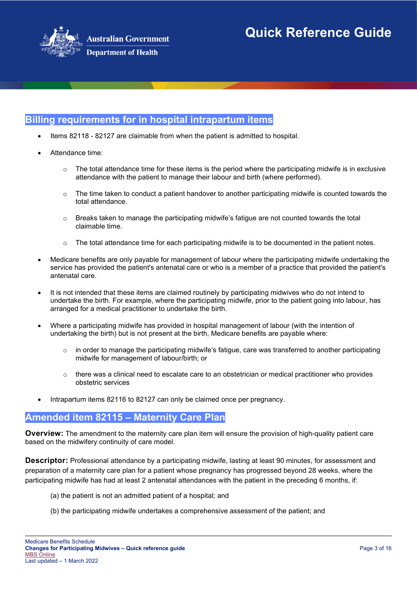

# **Billing requirements for in hospital intrapartum items**

- Items 82118 82127 are claimable from when the patient is admitted to hospital.
- Attendance time:
	- $\circ$  The total attendance time for these items is the period where the participating midwife is in exclusive attendance with the patient to manage their labour and birth (where performed).
	- $\circ$  The time taken to conduct a patient handover to another participating midwife is counted towards the total attendance.
	- $\circ$  Breaks taken to manage the participating midwife's fatigue are not counted towards the total claimable time.
	- $\circ$  The total attendance time for each participating midwife is to be documented in the patient notes.
- Medicare benefits are only payable for management of labour where the participating midwife undertaking the service has provided the patient's antenatal care or who is a member of a practice that provided the patient's antenatal care.
- It is not intended that these items are claimed routinely by participating midwives who do not intend to undertake the birth. For example, where the participating midwife, prior to the patient going into labour, has arranged for a medical practitioner to undertake the birth.
- Where a participating midwife has provided in hospital management of labour (with the intention of undertaking the birth) but is not present at the birth, Medicare benefits are payable where:
	- $\circ$  in order to manage the participating midwife's fatigue, care was transferred to another participating midwife for management of labour/birth; or
	- $\circ$  there was a clinical need to escalate care to an obstetrician or medical practitioner who provides obstetric services
- Intrapartum items 82116 to 82127 can only be claimed once per pregnancy.

# **Amended item 82115 – Maternity Care Plan**

**Overview:** The amendment to the maternity care plan item will ensure the provision of high-quality patient care based on the midwifery continuity of care model.

**Descriptor:** Professional attendance by a participating midwife, lasting at least 90 minutes, for assessment and preparation of a maternity care plan for a patient whose pregnancy has progressed beyond 28 weeks, where the participating midwife has had at least 2 antenatal attendances with the patient in the preceding 6 months, if:

- (a) the patient is not an admitted patient of a hospital; and
- (b) the participating midwife undertakes a comprehensive assessment of the patient; and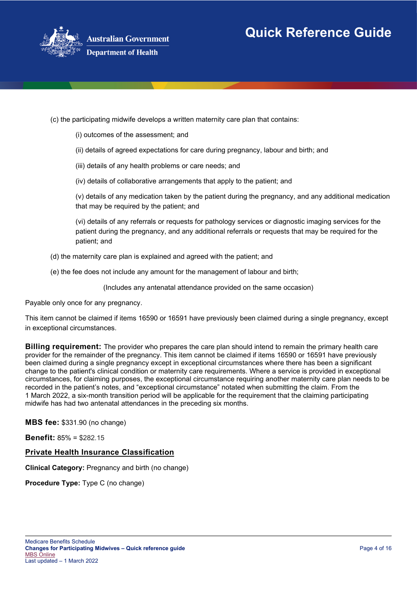



(c) the participating midwife develops a written maternity care plan that contains:

- (i) outcomes of the assessment; and
- (ii) details of agreed expectations for care during pregnancy, labour and birth; and
- (iii) details of any health problems or care needs; and
- (iv) details of collaborative arrangements that apply to the patient; and

(v) details of any medication taken by the patient during the pregnancy, and any additional medication that may be required by the patient; and

(vi) details of any referrals or requests for pathology services or diagnostic imaging services for the patient during the pregnancy, and any additional referrals or requests that may be required for the patient; and

- (d) the maternity care plan is explained and agreed with the patient; and
- (e) the fee does not include any amount for the management of labour and birth;

(Includes any antenatal attendance provided on the same occasion)

Payable only once for any pregnancy.

This item cannot be claimed if items 16590 or 16591 have previously been claimed during a single pregnancy, except in exceptional circumstances.

**Billing requirement:** The provider who prepares the care plan should intend to remain the primary health care provider for the remainder of the pregnancy. This item cannot be claimed if items 16590 or 16591 have previously been claimed during a single pregnancy except in exceptional circumstances where there has been a significant change to the patient's clinical condition or maternity care requirements. Where a service is provided in exceptional circumstances, for claiming purposes, the exceptional circumstance requiring another maternity care plan needs to be recorded in the patient's notes, and "exceptional circumstance" notated when submitting the claim. From the 1 March 2022, a six-month transition period will be applicable for the requirement that the claiming participating midwife has had two antenatal attendances in the preceding six months.

**MBS fee:** \$331.90 (no change)

**Benefit:** 85% = \$282.15

## **Private Health Insurance Classification**

**Clinical Category:** Pregnancy and birth (no change)

**Procedure Type:** Type C (no change)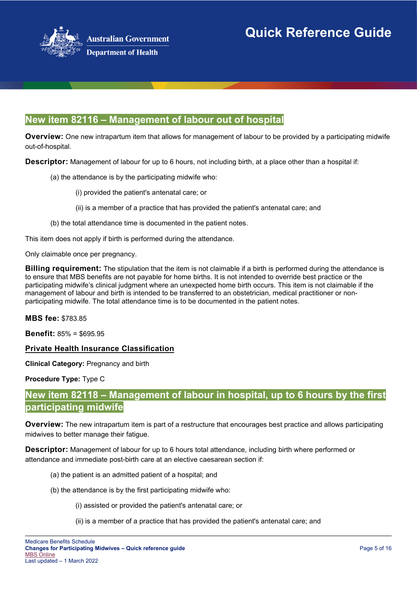

# **New item 82116 – Management of labour out of hospital**

**Overview:** One new intrapartum item that allows for management of labour to be provided by a participating midwife out-of-hospital.

**Descriptor:** Management of labour for up to 6 hours, not including birth, at a place other than a hospital if:

- (a) the attendance is by the participating midwife who:
	- (i) provided the patient's antenatal care; or
	- (ii) is a member of a practice that has provided the patient's antenatal care; and
- (b) the total attendance time is documented in the patient notes.

This item does not apply if birth is performed during the attendance.

Only claimable once per pregnancy.

**Billing requirement:** The stipulation that the item is not claimable if a birth is performed during the attendance is to ensure that MBS benefits are not payable for home births. It is not intended to override best practice or the participating midwife's clinical judgment where an unexpected home birth occurs. This item is not claimable if the management of labour and birth is intended to be transferred to an obstetrician, medical practitioner or nonparticipating midwife. The total attendance time is to be documented in the patient notes.

**MBS fee:** \$783.85

**Benefit:** 85% = \$695.95

## **Private Health Insurance Classification**

**Clinical Category:** Pregnancy and birth

**Procedure Type:** Type C

# **New item 82118 – Management of labour in hospital, up to 6 hours by the first participating midwife**

**Overview:** The new intrapartum item is part of a restructure that encourages best practice and allows participating midwives to better manage their fatigue.

**Descriptor:** Management of labour for up to 6 hours total attendance, including birth where performed or attendance and immediate post-birth care at an elective caesarean section if:

- (a) the patient is an admitted patient of a hospital; and
- (b) the attendance is by the first participating midwife who:
	- (i) assisted or provided the patient's antenatal care; or
	- (ii) is a member of a practice that has provided the patient's antenatal care; and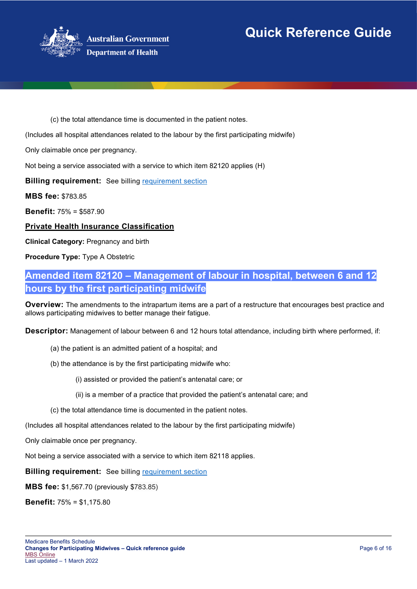

(c) the total attendance time is documented in the patient notes.

(Includes all hospital attendances related to the labour by the first participating midwife)

Only claimable once per pregnancy.

Not being a service associated with a service to which item 82120 applies (H)

**Billing requirement:** See billing [requirement section](#page-1-0)

**MBS fee:** \$783.85

**Benefit:** 75% = \$587.90

**Private Health Insurance Classification**

**Clinical Category:** Pregnancy and birth

**Procedure Type:** Type A Obstetric

# **Amended item 82120 – Management of labour in hospital, between 6 and 12 hours by the first participating midwife**

**Overview:** The amendments to the intrapartum items are a part of a restructure that encourages best practice and allows participating midwives to better manage their fatigue.

**Descriptor:** Management of labour between 6 and 12 hours total attendance, including birth where performed, if:

- (a) the patient is an admitted patient of a hospital; and
- (b) the attendance is by the first participating midwife who:

(i) assisted or provided the patient's antenatal care; or

- (ii) is a member of a practice that provided the patient's antenatal care; and
- (c) the total attendance time is documented in the patient notes.

(Includes all hospital attendances related to the labour by the first participating midwife)

Only claimable once per pregnancy.

Not being a service associated with a service to which item 82118 applies.

**Billing requirement:** See billing [requirement section](#page-1-0)

**MBS fee:** \$1,567.70 (previously \$783.85)

**Benefit:** 75% = \$1,175.80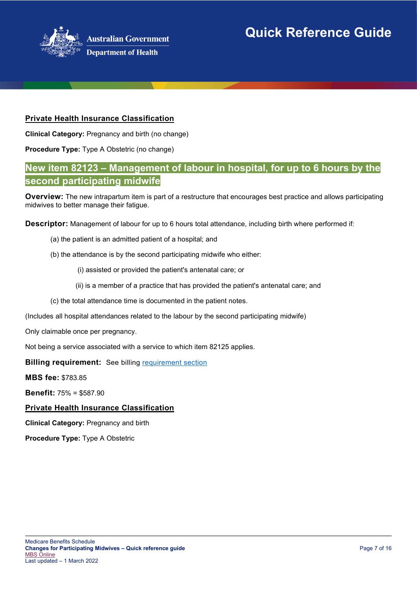

# **Private Health Insurance Classification**

**Clinical Category:** Pregnancy and birth (no change)

**Procedure Type:** Type A Obstetric (no change)

# **New item 82123 – Management of labour in hospital, for up to 6 hours by the second participating midwife**

**Overview:** The new intrapartum item is part of a restructure that encourages best practice and allows participating midwives to better manage their fatigue.

**Descriptor:** Management of labour for up to 6 hours total attendance, including birth where performed if:

- (a) the patient is an admitted patient of a hospital; and
- (b) the attendance is by the second participating midwife who either:
	- (i) assisted or provided the patient's antenatal care; or
	- (ii) is a member of a practice that has provided the patient's antenatal care; and
- (c) the total attendance time is documented in the patient notes.

(Includes all hospital attendances related to the labour by the second participating midwife)

Only claimable once per pregnancy.

Not being a service associated with a service to which item 82125 applies.

**Billing requirement:** See billing [requirement section](#page-1-0)

**MBS fee:** \$783.85

**Benefit:** 75% = \$587.90

## **Private Health Insurance Classification**

**Clinical Category:** Pregnancy and birth

**Procedure Type:** Type A Obstetric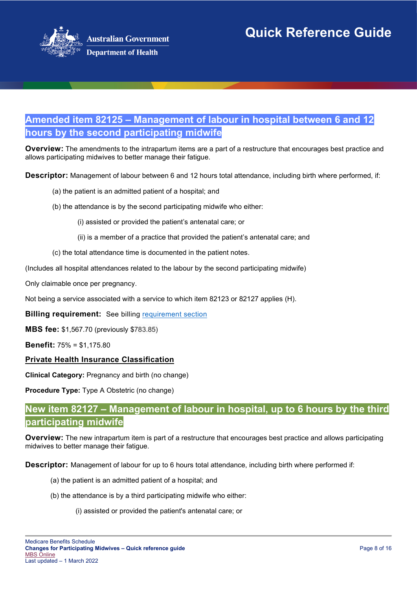

# **Amended item 82125 – Management of labour in hospital between 6 and 12 hours by the second participating midwife**

**Overview:** The amendments to the intrapartum items are a part of a restructure that encourages best practice and allows participating midwives to better manage their fatigue.

**Descriptor:** Management of labour between 6 and 12 hours total attendance, including birth where performed, if:

- (a) the patient is an admitted patient of a hospital; and
- (b) the attendance is by the second participating midwife who either:
	- (i) assisted or provided the patient's antenatal care; or
	- (ii) is a member of a practice that provided the patient's antenatal care; and
- (c) the total attendance time is documented in the patient notes.

(Includes all hospital attendances related to the labour by the second participating midwife)

Only claimable once per pregnancy.

Not being a service associated with a service to which item 82123 or 82127 applies (H).

**Billing requirement:** See billing [requirement section](#page-1-0)

**MBS fee:** \$1,567.70 (previously \$783.85)

**Benefit:** 75% = \$1,175.80

## **Private Health Insurance Classification**

**Clinical Category:** Pregnancy and birth (no change)

**Procedure Type:** Type A Obstetric (no change)

# **New item 82127 – Management of labour in hospital, up to 6 hours by the third participating midwife**

**Overview:** The new intrapartum item is part of a restructure that encourages best practice and allows participating midwives to better manage their fatigue.

**Descriptor:** Management of labour for up to 6 hours total attendance, including birth where performed if:

- (a) the patient is an admitted patient of a hospital; and
- (b) the attendance is by a third participating midwife who either:
	- (i) assisted or provided the patient's antenatal care; or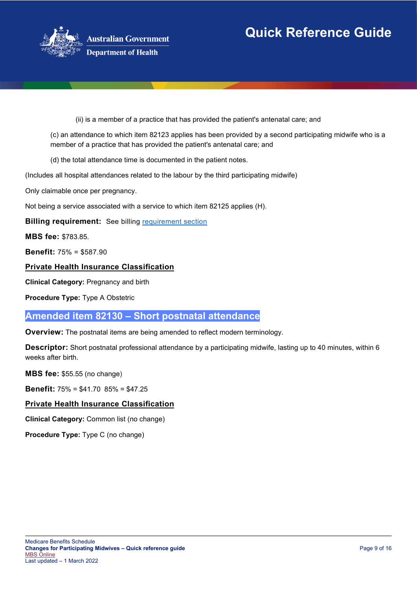

(ii) is a member of a practice that has provided the patient's antenatal care; and

(c) an attendance to which item 82123 applies has been provided by a second participating midwife who is a member of a practice that has provided the patient's antenatal care; and

(d) the total attendance time is documented in the patient notes.

(Includes all hospital attendances related to the labour by the third participating midwife)

Only claimable once per pregnancy.

Not being a service associated with a service to which item 82125 applies (H).

**Billing requirement:** See billing [requirement section](#page-1-0)

**MBS fee:** \$783.85.

**Benefit:** 75% = \$587.90

## **Private Health Insurance Classification**

**Clinical Category:** Pregnancy and birth

**Procedure Type:** Type A Obstetric

## **Amended item 82130 – Short postnatal attendance**

**Overview:** The postnatal items are being amended to reflect modern terminology.

**Descriptor:** Short postnatal professional attendance by a participating midwife, lasting up to 40 minutes, within 6 weeks after birth.

**MBS fee:** \$55.55 (no change)

**Benefit:** 75% = \$41.70 85% = \$47.25

## **Private Health Insurance Classification**

**Clinical Category:** Common list (no change)

**Procedure Type:** Type C (no change)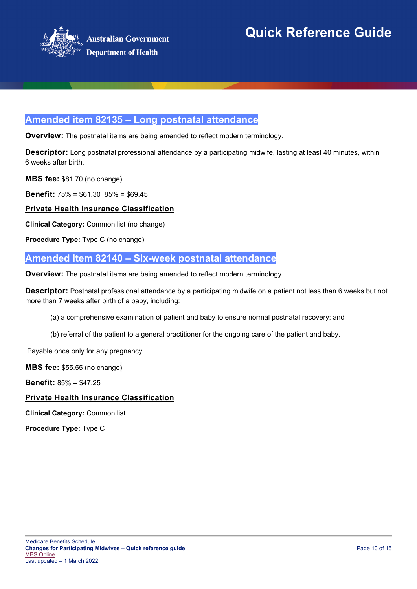

# **Amended item 82135 – Long postnatal attendance**

**Overview:** The postnatal items are being amended to reflect modern terminology.

**Descriptor:** Long postnatal professional attendance by a participating midwife, lasting at least 40 minutes, within 6 weeks after birth.

**MBS fee:** \$81.70 (no change)

**Benefit:** 75% = \$61.30 85% = \$69.45

**Private Health Insurance Classification**

**Clinical Category:** Common list (no change)

**Procedure Type:** Type C (no change)

# **Amended item 82140 – Six-week postnatal attendance**

**Overview:** The postnatal items are being amended to reflect modern terminology.

**Descriptor:** Postnatal professional attendance by a participating midwife on a patient not less than 6 weeks but not more than 7 weeks after birth of a baby, including:

(a) a comprehensive examination of patient and baby to ensure normal postnatal recovery; and

(b) referral of the patient to a general practitioner for the ongoing care of the patient and baby.

Payable once only for any pregnancy.

**MBS fee:** \$55.55 (no change)

**Benefit:** 85% = \$47.25

## **Private Health Insurance Classification**

**Clinical Category:** Common list

**Procedure Type:** Type C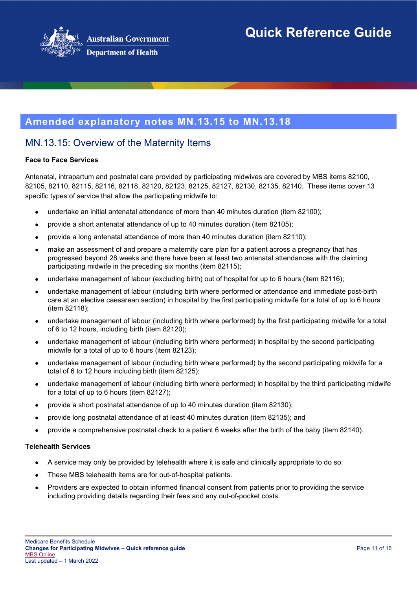

# **Amended explanatory notes MN.13.15 to MN.13.18**

# MN.13.15: Overview of the Maternity Items

## **Face to Face Services**

Antenatal, intrapartum and postnatal care provided by participating midwives are covered by MBS items 82100, 82105, 82110, 82115, 82116, 82118, 82120, 82123, 82125, 82127, 82130, 82135, 82140. These items cover 13 specific types of service that allow the participating midwife to:

- undertake an initial antenatal attendance of more than 40 minutes duration (item 82100);
- provide a short antenatal attendance of up to 40 minutes duration (item 82105);
- provide a long antenatal attendance of more than 40 minutes duration (item 82110);
- make an assessment of and prepare a maternity care plan for a patient across a pregnancy that has progressed beyond 28 weeks and there have been at least two antenatal attendances with the claiming participating midwife in the preceding six months (item 82115);
- undertake management of labour (excluding birth) out of hospital for up to 6 hours (item 82116);
- undertake management of labour (including birth where performed or attendance and immediate post-birth care at an elective caesarean section) in hospital by the first participating midwife for a total of up to 6 hours (item 82118);
- undertake management of labour (including birth where performed) by the first participating midwife for a total of 6 to 12 hours, including birth (item 82120);
- undertake management of labour (including birth where performed) in hospital by the second participating midwife for a total of up to 6 hours (item 82123);
- undertake management of labour (including birth where performed) by the second participating midwife for a total of 6 to 12 hours including birth (item 82125);
- undertake management of labour (including birth where performed) in hospital by the third participating midwife for a total of up to 6 hours (item 82127);
- provide a short postnatal attendance of up to 40 minutes duration (item 82130);
- provide long postnatal attendance of at least 40 minutes duration (item 82135); and
- provide a comprehensive postnatal check to a patient 6 weeks after the birth of the baby (item 82140).

## **Telehealth Services**

- A service may only be provided by telehealth where it is safe and clinically appropriate to do so.
- These MBS telehealth items are for out-of-hospital patients.
- Providers are expected to obtain informed financial consent from patients prior to providing the service including providing details regarding their fees and any out-of-pocket costs.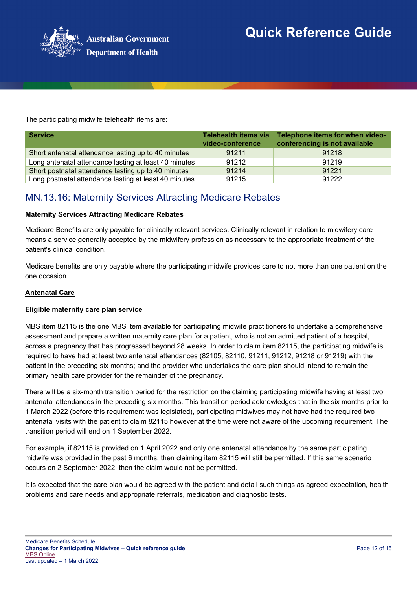

The participating midwife telehealth items are:

| <b>Service</b>                                        | <b>Telehealth items via</b><br>video-conference | Telephone items for when video-<br>conferencing is not available |
|-------------------------------------------------------|-------------------------------------------------|------------------------------------------------------------------|
| Short antenatal attendance lasting up to 40 minutes   | 91211                                           | 91218                                                            |
| Long antenatal attendance lasting at least 40 minutes | 91212                                           | 91219                                                            |
| Short postnatal attendance lasting up to 40 minutes   | 91214                                           | 91221                                                            |
| Long postnatal attendance lasting at least 40 minutes | 91215                                           | 91222                                                            |

# MN.13.16: Maternity Services Attracting Medicare Rebates

## **Maternity Services Attracting Medicare Rebates**

Medicare Benefits are only payable for clinically relevant services. Clinically relevant in relation to midwifery care means a service generally accepted by the midwifery profession as necessary to the appropriate treatment of the patient's clinical condition.

Medicare benefits are only payable where the participating midwife provides care to not more than one patient on the one occasion.

#### **Antenatal Care**

#### **Eligible maternity care plan service**

MBS item 82115 is the one MBS item available for participating midwife practitioners to undertake a comprehensive assessment and prepare a written maternity care plan for a patient, who is not an admitted patient of a hospital, across a pregnancy that has progressed beyond 28 weeks. In order to claim item 82115, the participating midwife is required to have had at least two antenatal attendances (82105, 82110, 91211, 91212, 91218 or 91219) with the patient in the preceding six months; and the provider who undertakes the care plan should intend to remain the primary health care provider for the remainder of the pregnancy.

There will be a six-month transition period for the restriction on the claiming participating midwife having at least two antenatal attendances in the preceding six months. This transition period acknowledges that in the six months prior to 1 March 2022 (before this requirement was legislated), participating midwives may not have had the required two antenatal visits with the patient to claim 82115 however at the time were not aware of the upcoming requirement. The transition period will end on 1 September 2022.

For example, if 82115 is provided on 1 April 2022 and only one antenatal attendance by the same participating midwife was provided in the past 6 months, then claiming item 82115 will still be permitted. If this same scenario occurs on 2 September 2022, then the claim would not be permitted.

It is expected that the care plan would be agreed with the patient and detail such things as agreed expectation, health problems and care needs and appropriate referrals, medication and diagnostic tests.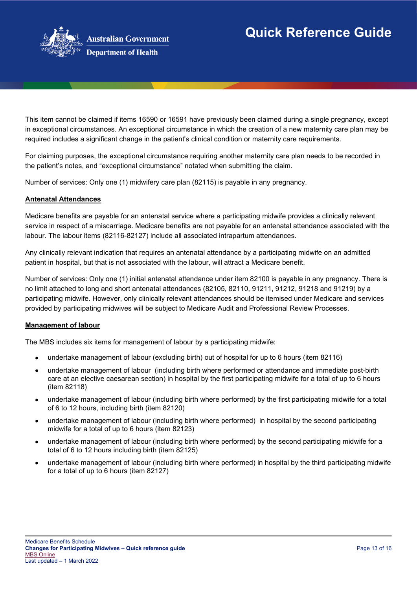

This item cannot be claimed if items 16590 or 16591 have previously been claimed during a single pregnancy, except in exceptional circumstances. An exceptional circumstance in which the creation of a new maternity care plan may be required includes a significant change in the patient's clinical condition or maternity care requirements.

For claiming purposes, the exceptional circumstance requiring another maternity care plan needs to be recorded in the patient's notes, and "exceptional circumstance" notated when submitting the claim.

Number of services: Only one (1) midwifery care plan (82115) is payable in any pregnancy.

## **Antenatal Attendances**

Medicare benefits are payable for an antenatal service where a participating midwife provides a clinically relevant service in respect of a miscarriage. Medicare benefits are not payable for an antenatal attendance associated with the labour. The labour items (82116-82127) include all associated intrapartum attendances.

Any clinically relevant indication that requires an antenatal attendance by a participating midwife on an admitted patient in hospital, but that is not associated with the labour, will attract a Medicare benefit.

Number of services: Only one (1) initial antenatal attendance under item 82100 is payable in any pregnancy. There is no limit attached to long and short antenatal attendances (82105, 82110, 91211, 91212, 91218 and 91219) by a participating midwife. However, only clinically relevant attendances should be itemised under Medicare and services provided by participating midwives will be subject to Medicare Audit and Professional Review Processes.

## **Management of labour**

The MBS includes six items for management of labour by a participating midwife:

- undertake management of labour (excluding birth) out of hospital for up to 6 hours (item 82116)
- undertake management of labour (including birth where performed or attendance and immediate post-birth care at an elective caesarean section) in hospital by the first participating midwife for a total of up to 6 hours (item 82118)
- undertake management of labour (including birth where performed) by the first participating midwife for a total of 6 to 12 hours, including birth (item 82120)
- undertake management of labour (including birth where performed) in hospital by the second participating midwife for a total of up to 6 hours (item 82123)
- undertake management of labour (including birth where performed) by the second participating midwife for a total of 6 to 12 hours including birth (item 82125)
- undertake management of labour (including birth where performed) in hospital by the third participating midwife for a total of up to 6 hours (item 82127)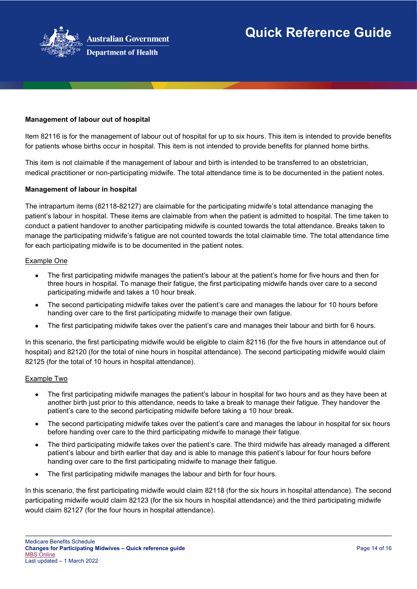

## **Management of labour out of hospital**

Item 82116 is for the management of labour out of hospital for up to six hours. This item is intended to provide benefits for patients whose births occur in hospital. This item is not intended to provide benefits for planned home births.

This item is not claimable if the management of labour and birth is intended to be transferred to an obstetrician, medical practitioner or non-participating midwife. The total attendance time is to be documented in the patient notes.

#### **Management of labour in hospital**

The intrapartum items (82118-82127) are claimable for the participating midwife's total attendance managing the patient's labour in hospital. These items are claimable from when the patient is admitted to hospital. The time taken to conduct a patient handover to another participating midwife is counted towards the total attendance. Breaks taken to manage the participating midwife's fatigue are not counted towards the total claimable time. The total attendance time for each participating midwife is to be documented in the patient notes.

#### Example One

- The first participating midwife manages the patient's labour at the patient's home for five hours and then for three hours in hospital. To manage their fatigue, the first participating midwife hands over care to a second participating midwife and takes a 10 hour break.
- The second participating midwife takes over the patient's care and manages the labour for 10 hours before handing over care to the first participating midwife to manage their own fatigue.
- The first participating midwife takes over the patient's care and manages their labour and birth for 6 hours.

In this scenario, the first participating midwife would be eligible to claim 82116 (for the five hours in attendance out of hospital) and 82120 (for the total of nine hours in hospital attendance). The second participating midwife would claim 82125 (for the total of 10 hours in hospital attendance).

#### Example Two

- The first participating midwife manages the patient's labour in hospital for two hours and as they have been at another birth just prior to this attendance, needs to take a break to manage their fatigue. They handover the patient's care to the second participating midwife before taking a 10 hour break.
- The second participating midwife takes over the patient's care and manages the labour in hospital for six hours before handing over care to the third participating midwife to manage their fatigue.
- The third participating midwife takes over the patient's care. The third midwife has already managed a different patient's labour and birth earlier that day and is able to manage this patient's labour for four hours before handing over care to the first participating midwife to manage their fatigue.
- The first participating midwife manages the labour and birth for four hours.

In this scenario, the first participating midwife would claim 82118 (for the six hours in hospital attendance). The second participating midwife would claim 82123 (for the six hours in hospital attendance) and the third participating midwife would claim 82127 (for the four hours in hospital attendance).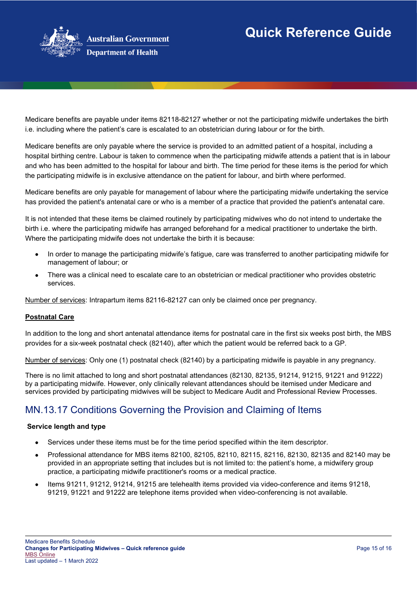

Medicare benefits are payable under items 82118-82127 whether or not the participating midwife undertakes the birth i.e. including where the patient's care is escalated to an obstetrician during labour or for the birth.

Medicare benefits are only payable where the service is provided to an admitted patient of a hospital, including a hospital birthing centre. Labour is taken to commence when the participating midwife attends a patient that is in labour and who has been admitted to the hospital for labour and birth. The time period for these items is the period for which the participating midwife is in exclusive attendance on the patient for labour, and birth where performed.

Medicare benefits are only payable for management of labour where the participating midwife undertaking the service has provided the patient's antenatal care or who is a member of a practice that provided the patient's antenatal care.

It is not intended that these items be claimed routinely by participating midwives who do not intend to undertake the birth i.e. where the participating midwife has arranged beforehand for a medical practitioner to undertake the birth. Where the participating midwife does not undertake the birth it is because:

- In order to manage the participating midwife's fatigue, care was transferred to another participating midwife for management of labour; or
- There was a clinical need to escalate care to an obstetrician or medical practitioner who provides obstetric services.

Number of services: Intrapartum items 82116-82127 can only be claimed once per pregnancy.

## **Postnatal Care**

In addition to the long and short antenatal attendance items for postnatal care in the first six weeks post birth, the MBS provides for a six-week postnatal check (82140), after which the patient would be referred back to a GP.

Number of services: Only one (1) postnatal check (82140) by a participating midwife is payable in any pregnancy.

There is no limit attached to long and short postnatal attendances (82130, 82135, 91214, 91215, 91221 and 91222) by a participating midwife. However, only clinically relevant attendances should be itemised under Medicare and services provided by participating midwives will be subject to Medicare Audit and Professional Review Processes.

# MN.13.17 Conditions Governing the Provision and Claiming of Items

## **Service length and type**

- Services under these items must be for the time period specified within the item descriptor.
- Professional attendance for MBS items 82100, 82105, 82110, 82115, 82116, 82130, 82135 and 82140 may be provided in an appropriate setting that includes but is not limited to: the patient's home, a midwifery group practice, a participating midwife practitioner's rooms or a medical practice.
- Items 91211, 91212, 91214, 91215 are telehealth items provided via video-conference and items 91218, 91219, 91221 and 91222 are telephone items provided when video-conferencing is not available.